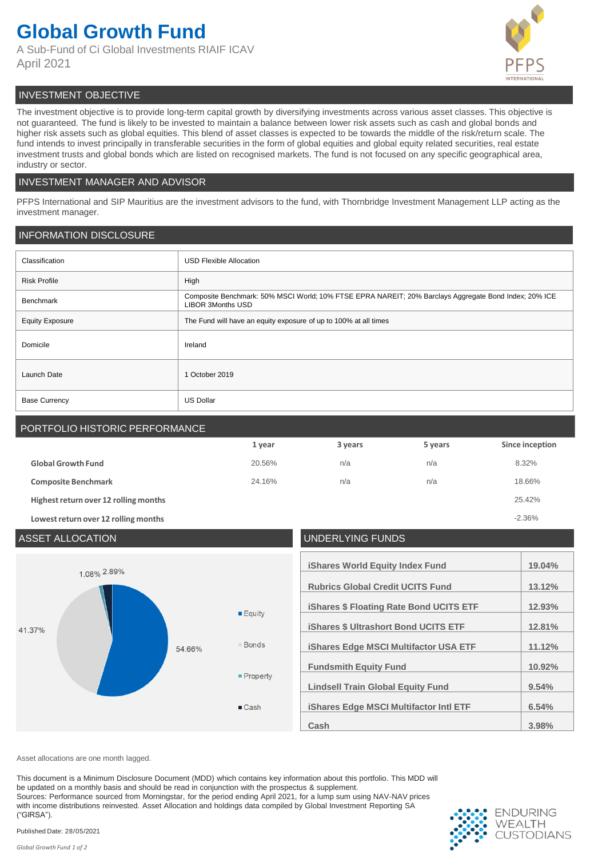## **Global Growth Fund**

A Sub-Fund of Ci Global Investments RIAIF ICAV April 2021



## INVESTMENT OBJECTIVE

The investment objective is to provide long-term capital growth by diversifying investments across various asset classes. This objective is not guaranteed. The fund is likely to be invested to maintain a balance between lower risk assets such as cash and global bonds and higher risk assets such as global equities. This blend of asset classes is expected to be towards the middle of the risk/return scale. The fund intends to invest principally in transferable securities in the form of global equities and global equity related securities, real estate investment trusts and global bonds which are listed on recognised markets. The fund is not focused on any specific geographical area, industry or sector.

## INVESTMENT MANAGER AND ADVISOR

PFPS International and SIP Mauritius are the investment advisors to the fund, with Thornbridge Investment Management LLP acting as the investment manager.

## INFORMATION DISCLOSURE

| Classification         | <b>USD Flexible Allocation</b>                                                                                                    |  |
|------------------------|-----------------------------------------------------------------------------------------------------------------------------------|--|
| <b>Risk Profile</b>    | High                                                                                                                              |  |
| Benchmark              | Composite Benchmark: 50% MSCI World; 10% FTSE EPRA NAREIT; 20% Barclays Aggregate Bond Index; 20% ICE<br><b>LIBOR 3Months USD</b> |  |
| <b>Equity Exposure</b> | The Fund will have an equity exposure of up to 100% at all times                                                                  |  |
| Domicile               | Ireland                                                                                                                           |  |
| Launch Date            | 1 October 2019                                                                                                                    |  |
| <b>Base Currency</b>   | <b>US Dollar</b>                                                                                                                  |  |

## PORTFOLIO HISTORIC PERFORMANCE

|                                       | 1 year | 3 years | 5 years | Since inception |
|---------------------------------------|--------|---------|---------|-----------------|
| <b>Global Growth Fund</b>             | 20.56% | n/a     | n/a     | 8.32%           |
| <b>Composite Benchmark</b>            | 24.16% | n/a     | n/a     | 18.66%          |
| Highest return over 12 rolling months |        |         |         | 25.42%          |
| Lowest return over 12 rolling months  |        |         |         | $-2.36%$        |

## ASSET ALLOCATION UNDERLYING FUNDS **iShares World Equity Index Fund 19.04%** 1.08% 2.89% **Rubrics Global Credit UCITS Fund 13.12% iShares \$ Floating Rate Bond UCITS ETF 12.93%**  $E$ guity **iShares \$ Ultrashort Bond UCITS ETF 12.81%** 41.37% **Bonds iShares Edge MSCI Multifactor USA ETF 11.12%** 54.66% **Fundsmith Equity Fund 10.92%** Property **Lindsell Train Global Equity Fund 9.54% iShares Edge MSCI Multifactor Intl ETF 6.54%**  $\blacksquare$  Cash **Cash 3.98%**

Asset allocations are one month lagged.

This document is a Minimum Disclosure Document (MDD) which contains key information about this portfolio. This MDD will be updated on a monthly basis and should be read in conjunction with the prospectus & supplement. Sources: Performance sourced from Morningstar, for the period ending April 2021, for a lump sum using NAV-NAV prices with income distributions reinvested. Asset Allocation and holdings data compiled by Global Investment Reporting SA ("GIRSA").